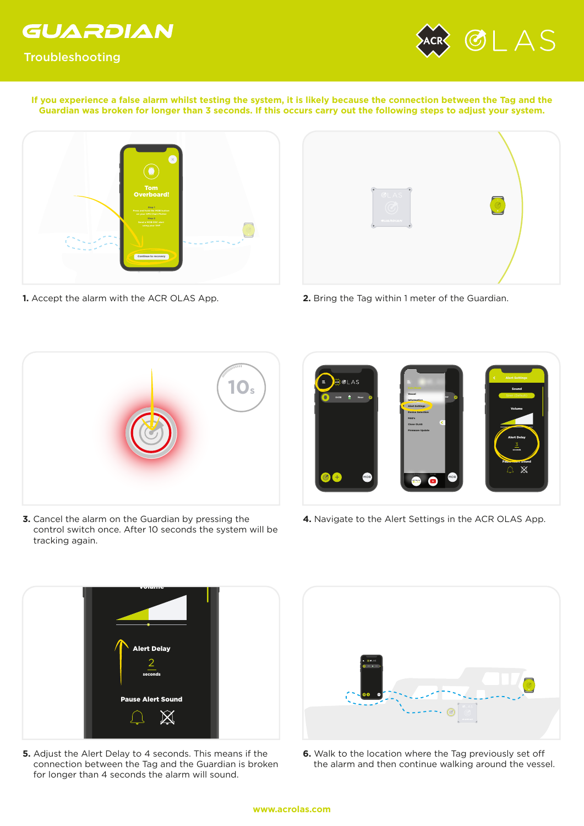

Troubleshooting



**If you experience a false alarm whilst testing the system, it is likely because the connection between the Tag and the Guardian was broken for longer than 3 seconds. If this occurs carry out the following steps to adjust your system.**



**1.** Accept the alarm with the ACR OLAS App.



**2.** Bring the Tag within 1 meter of the Guardian.



**3.** Cancel the alarm on the Guardian by pressing the control switch once. After 10 seconds the system will be tracking again.



**4.** Navigate to the Alert Settings in the ACR OLAS App.



**5.** Adjust the Alert Delay to 4 seconds. This means if the connection between the Tag and the Guardian is broken for longer than 4 seconds the alarm will sound.



**6.** Walk to the location where the Tag previously set off the alarm and then continue walking around the vessel.